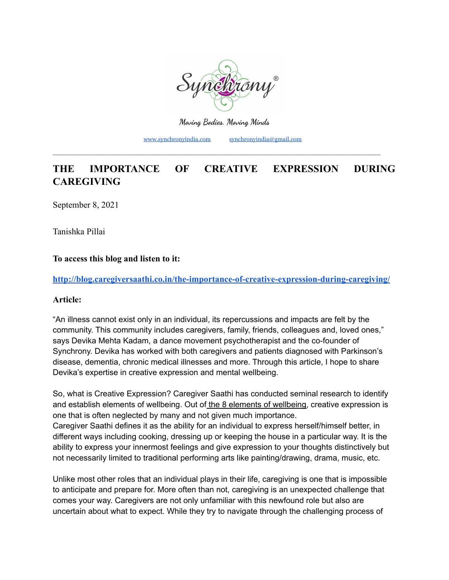

**Moving Bodies. Moving Minds**

[www.synchronyindia.com](http://www.synchronyindia.com) [synchronyindia@gmail.com](mailto:synchronyindia@gmail.com)

# **THE IMPORTANCE OF CREATIVE EXPRESSION DURING CAREGIVING**

\_\_\_\_\_\_\_\_\_\_\_\_\_\_\_\_\_\_\_\_\_\_\_\_\_\_\_\_\_\_\_\_\_\_\_\_\_\_\_\_\_\_\_\_\_\_\_\_\_\_\_\_\_\_\_\_\_\_\_\_\_\_\_\_\_\_\_\_\_\_\_\_\_\_\_\_\_\_\_\_\_\_\_\_\_\_\_

[September 8, 202](http://blog.caregiversaathi.co.in/the-importance-of-creative-expression-during-caregiving/)1

Tanishka Pillai

# **To access this blog and listen to it:**

**<http://blog.caregiversaathi.co.in/the-importance-of-creative-expression-during-caregiving/>**

### **Article:**

"An illness cannot exist only in an individual, its repercussions and impacts are felt by the community. This community includes caregivers, family, friends, colleagues and, loved ones," says Devika Mehta Kadam, a dance movement psychotherapist and the co-founder of Synchrony. Devika has worked with both caregivers and patients diagnosed with Parkinson's disease, dementia, chronic medical illnesses and more. Through this article, I hope to share Devika's expertise in creative expression and mental wellbeing.

So, what is Creative Expression? Caregiver Saathi has conducted seminal research to identify and establish elements of wellbeing. Out of the 8 elements of [wellbeing,](https://caregiversaathi.co.in/tools.html#toolsFour) creative expression is one that is often neglected by many and not given much importance. Caregiver Saathi defines it as the ability for an individual to express herself/himself better, in different ways including cooking, dressing up or keeping the house in a particular way. It is the ability to express your innermost feelings and give expression to your thoughts distinctively but not necessarily limited to traditional performing arts like painting/drawing, drama, music, etc.

Unlike most other roles that an individual plays in their life, caregiving is one that is impossible to anticipate and prepare for. More often than not, caregiving is an unexpected challenge that comes your way. Caregivers are not only unfamiliar with this newfound role but also are uncertain about what to expect. While they try to navigate through the challenging process of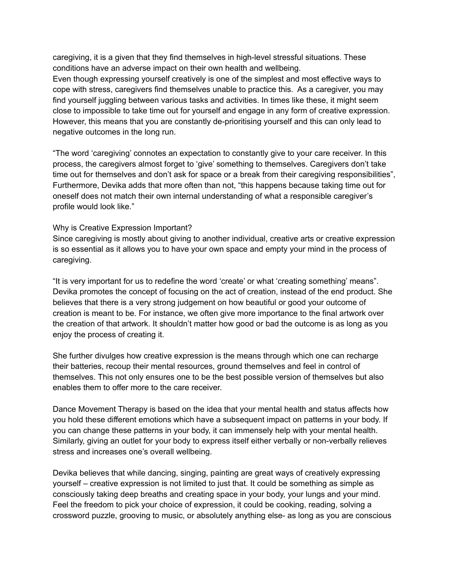caregiving, it is a given that they find themselves in high-level stressful situations. These conditions have an adverse impact on their own health and wellbeing.

Even though expressing yourself creatively is one of the simplest and most effective ways to cope with stress, caregivers find themselves unable to practice this. As a caregiver, you may find yourself juggling between various tasks and activities. In times like these, it might seem close to impossible to take time out for yourself and engage in any form of creative expression. However, this means that you are constantly de-prioritising yourself and this can only lead to negative outcomes in the long run.

"The word 'caregiving' connotes an expectation to constantly give to your care receiver. In this process, the caregivers almost forget to 'give' something to themselves. Caregivers don't take time out for themselves and don't ask for space or a break from their caregiving responsibilities", Furthermore, Devika adds that more often than not, "this happens because taking time out for oneself does not match their own internal understanding of what a responsible caregiver's profile would look like."

### Why is Creative Expression Important?

Since caregiving is mostly about giving to another individual, creative arts or creative expression is so essential as it allows you to have your own space and empty your mind in the process of caregiving.

"It is very important for us to redefine the word 'create' or what 'creating something' means". Devika promotes the concept of focusing on the act of creation, instead of the end product. She believes that there is a very strong judgement on how beautiful or good your outcome of creation is meant to be. For instance, we often give more importance to the final artwork over the creation of that artwork. It shouldn't matter how good or bad the outcome is as long as you enjoy the process of creating it.

She further divulges how creative expression is the means through which one can recharge their batteries, recoup their mental resources, ground themselves and feel in control of themselves. This not only ensures one to be the best possible version of themselves but also enables them to offer more to the care receiver.

Dance Movement Therapy is based on the idea that your mental health and status affects how you hold these different emotions which have a subsequent impact on patterns in your body. If you can change these patterns in your body, it can immensely help with your mental health. Similarly, giving an outlet for your body to express itself either verbally or non-verbally relieves stress and increases one's overall wellbeing.

Devika believes that while dancing, singing, painting are great ways of creatively expressing yourself – creative expression is not limited to just that. It could be something as simple as consciously taking deep breaths and creating space in your body, your lungs and your mind. Feel the freedom to pick your choice of expression, it could be cooking, reading, solving a crossword puzzle, grooving to music, or absolutely anything else- as long as you are conscious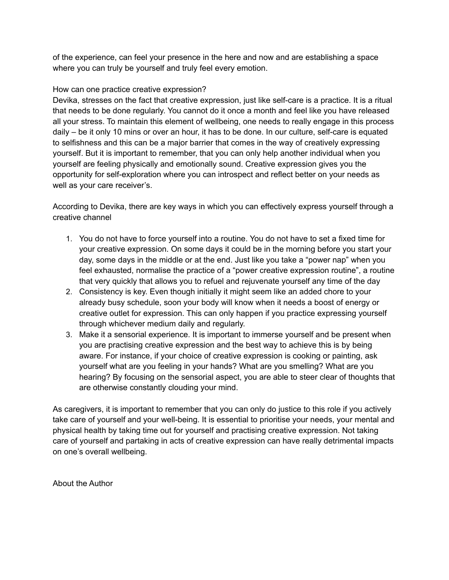of the experience, can feel your presence in the here and now and are establishing a space where you can truly be yourself and truly feel every emotion.

# How can one practice creative expression?

Devika, stresses on the fact that creative expression, just like self-care is a practice. It is a ritual that needs to be done regularly. You cannot do it once a month and feel like you have released all your stress. To maintain this element of wellbeing, one needs to really engage in this process daily – be it only 10 mins or over an hour, it has to be done. In our culture, self-care is equated to selfishness and this can be a major barrier that comes in the way of creatively expressing yourself. But it is important to remember, that you can only help another individual when you yourself are feeling physically and emotionally sound. Creative expression gives you the opportunity for self-exploration where you can introspect and reflect better on your needs as well as your care receiver's.

According to Devika, there are key ways in which you can effectively express yourself through a creative channel

- 1. You do not have to force yourself into a routine. You do not have to set a fixed time for your creative expression. On some days it could be in the morning before you start your day, some days in the middle or at the end. Just like you take a "power nap" when you feel exhausted, normalise the practice of a "power creative expression routine", a routine that very quickly that allows you to refuel and rejuvenate yourself any time of the day
- 2. Consistency is key. Even though initially it might seem like an added chore to your already busy schedule, soon your body will know when it needs a boost of energy or creative outlet for expression. This can only happen if you practice expressing yourself through whichever medium daily and regularly.
- 3. Make it a sensorial experience. It is important to immerse yourself and be present when you are practising creative expression and the best way to achieve this is by being aware. For instance, if your choice of creative expression is cooking or painting, ask yourself what are you feeling in your hands? What are you smelling? What are you hearing? By focusing on the sensorial aspect, you are able to steer clear of thoughts that are otherwise constantly clouding your mind.

As caregivers, it is important to remember that you can only do justice to this role if you actively take care of yourself and your well-being. It is essential to prioritise your needs, your mental and physical health by taking time out for yourself and practising creative expression. Not taking care of yourself and partaking in acts of creative expression can have really detrimental impacts on one's overall wellbeing.

About the Author